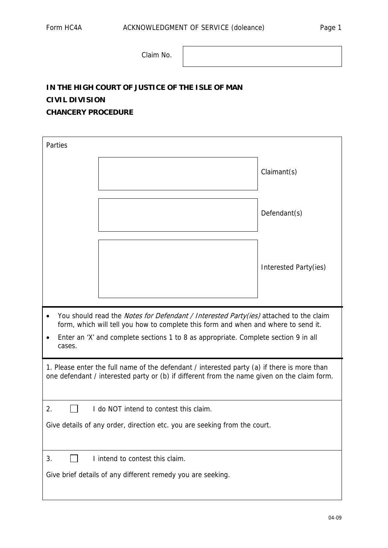Claim No.

## **IN THE HIGH COURT OF JUSTICE OF THE ISLE OF MAN CIVIL DIVISION CHANCERY PROCEDURE**

| Parties                                                                                                                                                                                                                                                                                          |                                 |                       |
|--------------------------------------------------------------------------------------------------------------------------------------------------------------------------------------------------------------------------------------------------------------------------------------------------|---------------------------------|-----------------------|
|                                                                                                                                                                                                                                                                                                  |                                 | Claimant(s)           |
|                                                                                                                                                                                                                                                                                                  |                                 | Defendant(s)          |
|                                                                                                                                                                                                                                                                                                  |                                 | Interested Party(ies) |
| You should read the <i>Notes for Defendant / Interested Party(ies)</i> attached to the claim<br>$\bullet$<br>form, which will tell you how to complete this form and when and where to send it.<br>Enter an 'X' and complete sections 1 to 8 as appropriate. Complete section 9 in all<br>cases. |                                 |                       |
| 1. Please enter the full name of the defendant / interested party (a) if there is more than<br>one defendant / interested party or (b) if different from the name given on the claim form.                                                                                                       |                                 |                       |
| 2.<br>I do NOT intend to contest this claim.                                                                                                                                                                                                                                                     |                                 |                       |
| Give details of any order, direction etc. you are seeking from the court.                                                                                                                                                                                                                        |                                 |                       |
| 3.                                                                                                                                                                                                                                                                                               | I intend to contest this claim. |                       |
| Give brief details of any different remedy you are seeking.                                                                                                                                                                                                                                      |                                 |                       |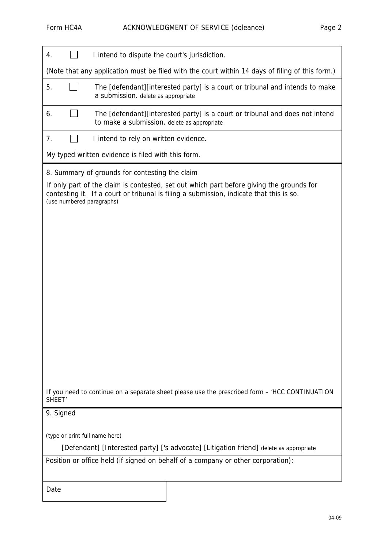| I intend to dispute the court's jurisdiction.<br>4.                                                                                                                                                              |  |  |
|------------------------------------------------------------------------------------------------------------------------------------------------------------------------------------------------------------------|--|--|
| (Note that any application must be filed with the court within 14 days of filing of this form.)                                                                                                                  |  |  |
| The [defendant][interested party] is a court or tribunal and intends to make<br>5.<br>a submission. delete as appropriate                                                                                        |  |  |
| The [defendant][interested party] is a court or tribunal and does not intend<br>6.<br>to make a submission. delete as appropriate                                                                                |  |  |
| 7.<br>I intend to rely on written evidence.                                                                                                                                                                      |  |  |
| My typed written evidence is filed with this form.                                                                                                                                                               |  |  |
| 8. Summary of grounds for contesting the claim                                                                                                                                                                   |  |  |
| If only part of the claim is contested, set out which part before giving the grounds for<br>contesting it. If a court or tribunal is filing a submission, indicate that this is so.<br>(use numbered paragraphs) |  |  |
|                                                                                                                                                                                                                  |  |  |
|                                                                                                                                                                                                                  |  |  |
|                                                                                                                                                                                                                  |  |  |
|                                                                                                                                                                                                                  |  |  |
|                                                                                                                                                                                                                  |  |  |
|                                                                                                                                                                                                                  |  |  |
|                                                                                                                                                                                                                  |  |  |
|                                                                                                                                                                                                                  |  |  |
|                                                                                                                                                                                                                  |  |  |
|                                                                                                                                                                                                                  |  |  |
|                                                                                                                                                                                                                  |  |  |
|                                                                                                                                                                                                                  |  |  |
| If you need to continue on a separate sheet please use the prescribed form - 'HCC CONTINUATION<br>SHEET <sup>'</sup>                                                                                             |  |  |
| 9. Signed                                                                                                                                                                                                        |  |  |
| (type or print full name here)                                                                                                                                                                                   |  |  |
| [Defendant] [Interested party] ['s advocate] [Litigation friend] delete as appropriate                                                                                                                           |  |  |
| Position or office held (if signed on behalf of a company or other corporation):                                                                                                                                 |  |  |
| Date                                                                                                                                                                                                             |  |  |